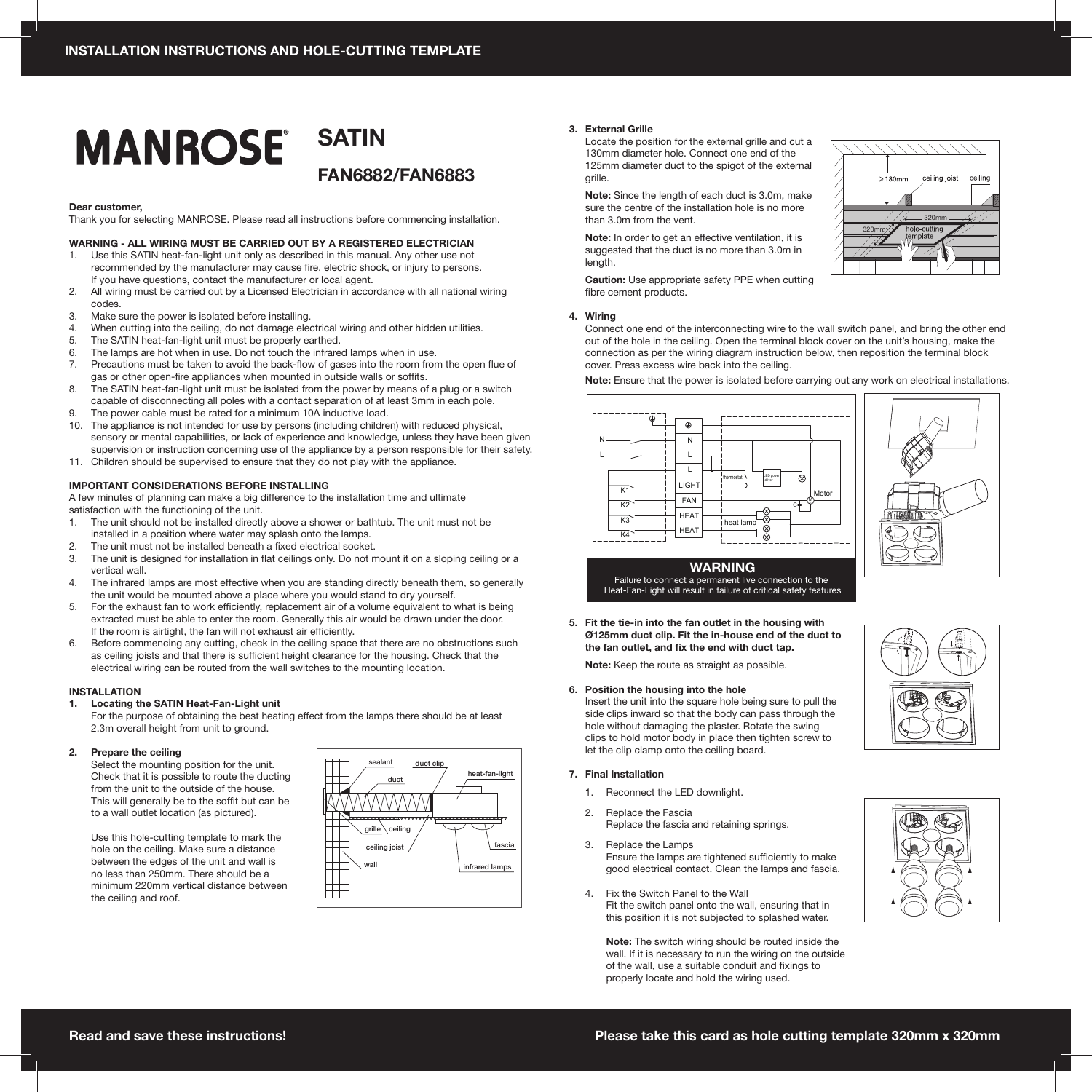# **MANROSE®**

**SATIN FAN6882/FAN6883**

#### **Dear customer,**

Thank you for selecting MANROSE. Please read all instructions before commencing installation.

## **WARNING - ALL WIRING MUST BE CARRIED OUT BY A REGISTERED ELECTRICIAN**

- 1. Use this SATIN heat-fan-light unit only as described in this manual. Any other use not recommended by the manufacturer may cause fire, electric shock, or injury to persons. If you have questions, contact the manufacturer or local agent.<br>2. All wiring must be carried out by a Licensed Electrician in acco
- All wiring must be carried out by a Licensed Electrician in accordance with all national wiring codes.
- 3. Make sure the power is isolated before installing.
- 4. When cutting into the ceiling, do not damage electrical wiring and other hidden utilities.
- 5. The SATIN heat-fan-light unit must be properly earthed.
- 6. The lamps are hot when in use. Do not touch the infrared lamps when in use.
- 7. Precautions must be taken to avoid the back-flow of gases into the room from the open flue of gas or other open-fire appliances when mounted in outside walls or soffits.
- 8. The SATIN heat-fan-light unit must be isolated from the power by means of a plug or a switch capable of disconnecting all poles with a contact separation of at least 3mm in each pole.
- 9. The power cable must be rated for a minimum 10A inductive load.
- 10. The appliance is not intended for use by persons (including children) with reduced physical, sensory or mental capabilities, or lack of experience and knowledge, unless they have been given supervision or instruction concerning use of the appliance by a person responsible for their safety.
- 11. Children should be supervised to ensure that they do not play with the appliance.

#### **IMPORTANT CONSIDERATIONS BEFORE INSTALLING**

A few minutes of planning can make a big difference to the installation time and ultimate satisfaction with the functioning of the unit.

- 1. The unit should not be installed directly above a shower or bathtub. The unit must not be installed in a position where water may splash onto the lamps.
- 2. The unit must not be installed beneath a fixed electrical socket.
- 3. The unit is designed for installation in flat ceilings only. Do not mount it on a sloping ceiling or a vertical wall.
- 4. The infrared lamps are most effective when you are standing directly beneath them, so generally the unit would be mounted above a place where you would stand to dry yourself.
- 5. For the exhaust fan to work efficiently, replacement air of a volume equivalent to what is being extracted must be able to enter the room. Generally this air would be drawn under the door. If the room is airtight, the fan will not exhaust air efficiently.
- 6. Before commencing any cutting, check in the ceiling space that there are no obstructions such as ceiling joists and that there is sufficient height clearance for the housing. Check that the electrical wiring can be routed from the wall switches to the mounting location.

## **INSTALLATION**

## **1. Locating the SATIN Heat-Fan-Light unit**

 For the purpose of obtaining the best heating effect from the lamps there should be at least 2.3m overall height from unit to ground.

# **2. Prepare the ceiling**

 Select the mounting position for the unit. Check that it is possible to route the ducting from the unit to the outside of the house. This will generally be to the soffit but can be to a wall outlet location (as pictured).

 Use this hole-cutting template to mark the hole on the ceiling. Make sure a distance between the edges of the unit and wall is no less than 250mm. There should be a minimum 220mm vertical distance between the ceiling and roof.



## **3. External Grille**

 Locate the position for the external grille and cut a 130mm diameter hole. Connect one end of the 125mm diameter duct to the spigot of the external grille.

 **Note:** Since the length of each duct is 3.0m, make sure the centre of the installation hole is no more than 3.0m from the vent.

 **Note:** In order to get an effective ventilation, it is suggested that the duct is no more than 3.0m in length.



 **Caution:** Use appropriate safety PPE when cutting fibre cement products.

# **4. Wiring**

 Connect one end of the interconnecting wire to the wall switch panel, and bring the other end out of the hole in the ceiling. Open the terminal block cover on the unit's housing, make the connection as per the wiring diagram instruction below, then reposition the terminal block cover. Press excess wire back into the ceiling.

 **Note:** Ensure that the power is isolated before carrying out any work on electrical installations.







 **Note:** Keep the route as straight as possible.

**6. Position the housing into the hole**

 Insert the unit into the square hole being sure to pull the side clips inward so that the body can pass through the hole without damaging the plaster. Rotate the swing clips to hold motor body in place then tighten screw to let the clip clamp onto the ceiling board.

# **7. Final Installation**

1. Reconnect the LED downlight.

- 2. Replace the Fascia Replace the fascia and retaining springs.
- 3. Replace the Lamps Ensure the lamps are tightened sufficiently to make good electrical contact. Clean the lamps and fascia.
- 4. Fix the Switch Panel to the Wall Fit the switch panel onto the wall, ensuring that in this position it is not subjected to splashed water.

 **Note:** The switch wiring should be routed inside the wall. If it is necessary to run the wiring on the outside of the wall, use a suitable conduit and fixings to properly locate and hold the wiring used.